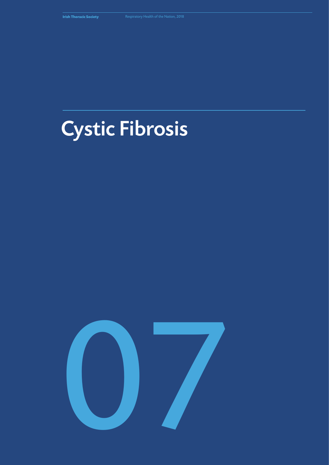# Cystic Fibrosis

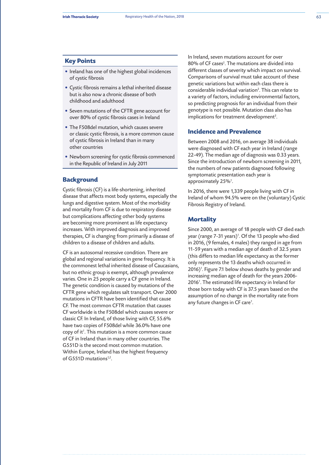#### **Key Points**

- Ireland has one of the highest global incidences of cystic fibrosis
- Cystic fibrosis remains a lethal inherited disease but is also now a chronic disease of both childhood and adulthood
- Seven mutations of the CFTR gene account for over 80% of cystic fibrosis cases in Ireland
- The F508del mutation, which causes severe or classic cystic fibrosis, is a more common cause of cystic fibrosis in Ireland than in many other countries
- Newborn screening for cystic fibrosis commenced in the Republic of Ireland in July 2011

# **Background**

Cystic fibrosis (CF) is a life-shortening, inherited disease that affects most body systems, especially the lungs and digestive system. Most of the morbidity and mortality from CF is due to respiratory disease but complications affecting other body systems are becoming more prominent as life expectancy increases. With improved diagnosis and improved therapies, CF is changing from primarily a disease of children to a disease of children and adults.

CF is an autosomal recessive condition. There are global and regional variations in gene frequency. It is the commonest lethal inherited disease of Caucasians, but no ethnic group is exempt, although prevalence varies. One in 25 people carry a CF gene in Ireland. The genetic condition is caused by mutations of the CFTR gene which regulates salt transport. Over 2000 mutations in CFTR have been identified that cause CF. The most common CFTR mutation that causes CF worldwide is the F508del which causes severe or classic CF. In Ireland, of those living with CF, 55.6% have two copies of F508del while 36.0% have one copy of it*<sup>1</sup>* . This mutation is a more common cause of CF in Ireland than in many other countries. The G551D is the second most common mutation. Within Europe, Ireland has the highest frequency of G551D mutations*1,2*.

In Ireland, seven mutations account for over 80% of CF cases*<sup>5</sup>* . The mutations are divided into different classes of severity which impact on survival. Comparisons of survival must take account of these genetic variations but within each class there is considerable individual variation*<sup>3</sup>* . This can relate to a variety of factors, including environmental factors, so predicting prognosis for an individual from their genotype is not possible. Mutation class also has implications for treatment development*<sup>3</sup>* .

# **Incidence and Prevalence**

Between 2008 and 2016, on average 38 individuals were diagnosed with CF each year in Ireland (range 22-49). The median age of diagnosis was 0.33 years. Since the introduction of newborn screening in 2011, the numbers of new patients diagnosed following symptomatic presentation each year is approximately 25%*<sup>1</sup>* .

In 2016, there were 1,339 people living with CF in Ireland of whom 94.5% were on the (voluntary) Cystic Fibrosis Registry of Ireland.

# **Mortality**

Since 2000, an average of 18 people with CF died each year (range 7-31 years)*<sup>1</sup>* . Of the 13 people who died in 2016, (9 females, 4 males) they ranged in age from 11-59 years with a median age of death of 32.5 years (this differs to median life expectancy as the former only represents the 13 deaths which occurred in 2016)*<sup>1</sup>* . Figure 7.1 below shows deaths by gender and increasing median age of death for the years 2006- 2016*<sup>1</sup>* . The estimated life expectancy in Ireland for those born today with CF is 37.5 years based on the assumption of no change in the mortality rate from any future changes in CF care*<sup>1</sup>* .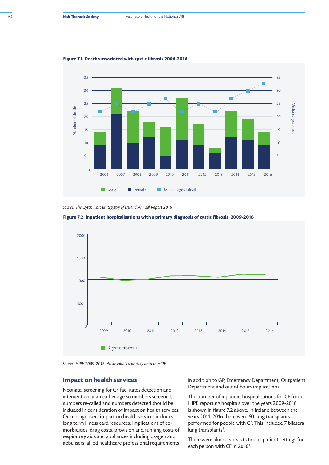

**Figure 7.1. Deaths associated with cystic fibrosis 2006-2016**

*Source: The Cystic Fibrosis Registry of Ireland Annual Report 2016 1 .*





*Source: HIPE 2009-2016. All hospitals reporting data to HIPE.*

#### **Impact on health services**

Neonatal screening for CF facilitates detection and intervention at an earlier age so numbers screened, numbers re-called and numbers detected should be included in consideration of impact on health services. Once diagnosed, impact on health services includes long term illness card resources, implications of comorbidities, drug costs, provision and running costs of respiratory aids and appliances including oxygen and nebulisers, allied healthcare professional requirements

in addition to GP, Emergency Department, Outpatient Department and out of hours implications.

The number of inpatient hospitalisations for CF from HIPE reporting hospitals over the years 2009-2016 is shown in figure 7.2 above. In Ireland between the years 2011-2016 there were 60 lung transplants performed for people with CF. This included 7 bilateral lung transplants*<sup>1</sup>* .

There were almost six visits to out-patient settings for each person with CF in 2016*<sup>1</sup>* .